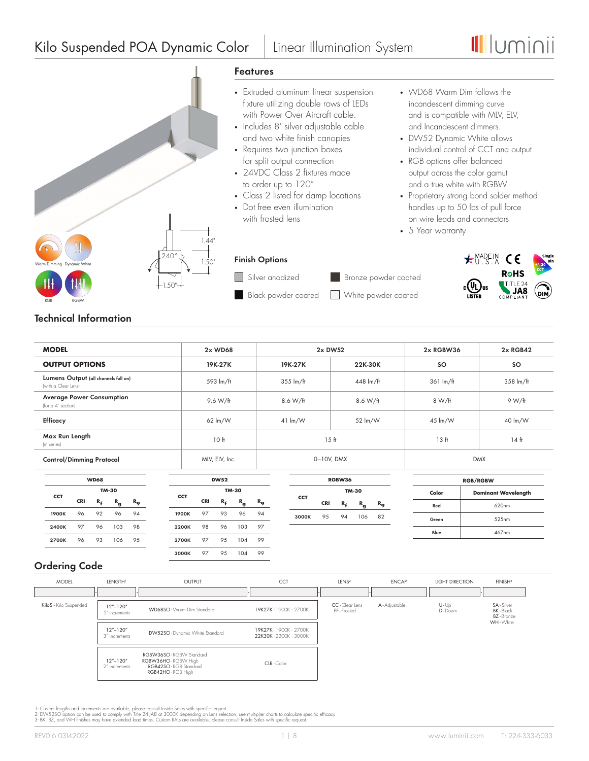# Kilo Suspended POA Dynamic Color | Linear Illumination System





# **Technical Information**

| <b>MODEL</b>                                                | $2x$ WD68                  |                            | $2x$ DW52           | 2x RGBW36           | $2x$ RGB42 |  |  |
|-------------------------------------------------------------|----------------------------|----------------------------|---------------------|---------------------|------------|--|--|
| <b>OUTPUT OPTIONS</b>                                       | 19K-27K                    | 19K-27K                    | 22K-30K             | <b>SO</b>           | <b>SO</b>  |  |  |
| Lumens Output (all channels full on)<br>Iwith a Clear Lensl | 593 lm/ft                  | $355 \text{ lm/ft}$        | $448 \text{ lm/ft}$ | $361 \text{ lm/ft}$ | 358 lm/ft  |  |  |
| <b>Average Power Consumption</b><br>(for a 4' section)      | 9.6 W/ft                   | 8.6 W/ft                   | 8.6 W/ft            | 8 W/ft              | 9 W/ft     |  |  |
| <b>Efficacy</b>                                             | $62 \, \text{Im}/\text{W}$ | $41 \, \text{Im}/\text{W}$ | 52 lm/W             | 45 lm/W             | 40 lm/W    |  |  |
| Max Run Length<br>(in series)                               | 10 <sub>ft</sub>           | 15 <sub>ft</sub>           | 13 ft               | 14 <sub>ft</sub>    |            |  |  |
| <b>Control/Dimming Protocol</b>                             | MLV, ELV, Inc.             |                            | $0-10V$ , DMX       | <b>DMX</b>          |            |  |  |

|            | <b>WD68</b> |    |              |             |       | <b>DW52</b><br>RGBW36 |            |    |              |             |            |            |                |             | <b>RGB/RGBW</b>  |       |       |  |  |  |  |  |  |  |  |  |  |  |  |  |  |  |  |  |  |  |  |  |  |  |  |  |  |  |  |       |                            |
|------------|-------------|----|--------------|-------------|-------|-----------------------|------------|----|--------------|-------------|------------|------------|----------------|-------------|------------------|-------|-------|--|--|--|--|--|--|--|--|--|--|--|--|--|--|--|--|--|--|--|--|--|--|--|--|--|--|--|--|-------|----------------------------|
| <b>CCT</b> |             |    | TM-30        |             | CCT   |                       |            |    | TM-30        |             |            | TM-30      |                |             |                  |       |       |  |  |  |  |  |  |  |  |  |  |  |  |  |  |  |  |  |  |  |  |  |  |  |  |  |  |  |  | Color | <b>Dominant Wavelength</b> |
|            | CRI         | R, | $R_{\alpha}$ | $R_{\odot}$ |       |                       | <b>CRI</b> | R, | $R_{\alpha}$ | $R_{\rm o}$ | <b>CCT</b> | <b>CRI</b> | R <sub>£</sub> | $R_{\bf q}$ | $R_{\mathbf{Q}}$ | Red   | 620nm |  |  |  |  |  |  |  |  |  |  |  |  |  |  |  |  |  |  |  |  |  |  |  |  |  |  |  |  |       |                            |
| 1900K      | 96          | 92 | 96           | 94          | 1900K |                       | 97         | 93 | 96           | 94          | 3000K      | 95         | 94             | 106         | 82               | Green | 525nm |  |  |  |  |  |  |  |  |  |  |  |  |  |  |  |  |  |  |  |  |  |  |  |  |  |  |  |  |       |                            |
| 2400K      | 97          | 96 | 103          | 98          | 2200K |                       | 98         | 96 | 103          | 97          |            |            |                |             |                  | Blue  | 467nm |  |  |  |  |  |  |  |  |  |  |  |  |  |  |  |  |  |  |  |  |  |  |  |  |  |  |  |  |       |                            |
| 2700K      | 96          | 93 | 106          | 95          | 2700K |                       | 97         | 95 | 104          | 99          |            |            |                |             |                  |       |       |  |  |  |  |  |  |  |  |  |  |  |  |  |  |  |  |  |  |  |  |  |  |  |  |  |  |  |  |       |                            |
|            |             |    |              |             | 3000K |                       | 97         | 95 | 104          | 99          |            |            |                |             |                  |       |       |  |  |  |  |  |  |  |  |  |  |  |  |  |  |  |  |  |  |  |  |  |  |  |  |  |  |  |  |       |                            |

# **Ordering Code**

| <b>MODEL</b>           | LENGTH <sup>1</sup>                                       | OUTPUT                                                                                           | <b>CCT</b>                                   | LENS <sup>2</sup>             | <b>ENCAP</b>   | <b>LIGHT DIRECTION</b> | FINISH <sup>3</sup>                                              |
|------------------------|-----------------------------------------------------------|--------------------------------------------------------------------------------------------------|----------------------------------------------|-------------------------------|----------------|------------------------|------------------------------------------------------------------|
|                        |                                                           |                                                                                                  |                                              |                               |                |                        |                                                                  |
| KiloS - Kilo Suspended | $12" - 120"$<br>5" increments                             | WD68SO - Warm Dim Standard                                                                       | 19K27K - 1900K - 2700K                       | CC - Clear Lens<br>FF-Frosted | A - Adjustable | $U - Up$<br>D-Down     | SA-Silver<br><b>BK</b> - Black<br><b>BZ</b> - Bronze<br>WH-White |
|                        | $12^{\prime\prime} - 120^{\prime\prime}$<br>3" increments | DW52SO - Dynamic White Standard                                                                  | 19K27K-1900K-2700K<br>22K30K - 2200K - 3000K |                               |                |                        |                                                                  |
|                        | $12^{\prime\prime} - 120^{\prime\prime}$<br>2" increments | RGBW36SO - RGBW Standard<br>RGBW36HO - RGBW High<br>RGB42SO - RGB Standard<br>RGB42HO - RGB High | CLR - Color                                  |                               |                |                        |                                                                  |

1- Custom lengths and increments are available, please consult Inside Sales with specific request.<br>2- DWS2SO option can be used to comply with Tille 24 JAB at 3000K depending on Lens selection, see multiplier chants to cal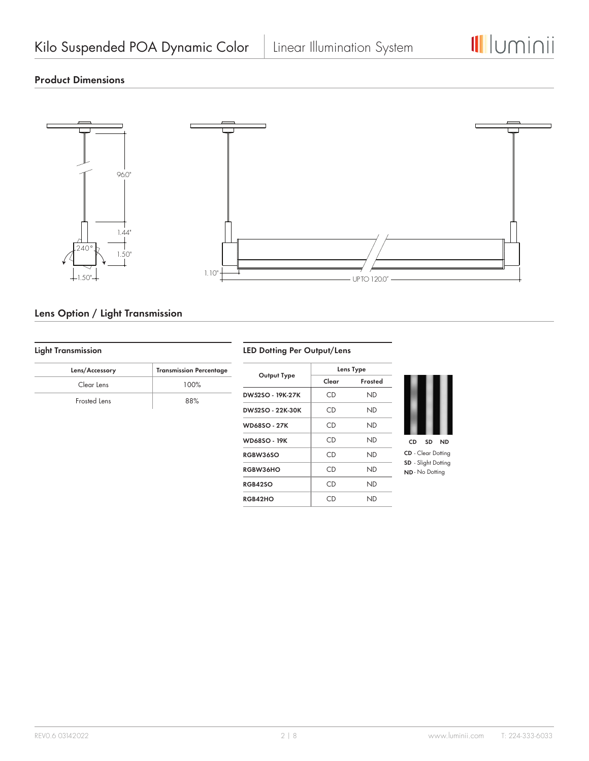

# **Product Dimensions**



# **Lens Option / Light Transmission**

# **Light Transmission**

| Lens/Accessory | <b>Transmission Percentage</b> |
|----------------|--------------------------------|
| Clear Lens     | 100%                           |
| Frosted Lens   | 88%                            |

### **LED Dotting Per Output/Lens**

|                     |       | Lens Type |  |  |
|---------------------|-------|-----------|--|--|
| Output Type         | Clear | Frosted   |  |  |
| DW52SO - 19K-27K    | CD    | ND        |  |  |
| DW52SO - 22K-30K    | CD    | ND        |  |  |
| <b>WD68SO - 27K</b> | CD    | ND        |  |  |
| WD68SO - 19K        | CD    | ND        |  |  |
| RGBW36SO            | CD    | ND        |  |  |
| <b>RGBW36HO</b>     | CD    | ND        |  |  |
| <b>RGB42SO</b>      | CD    | ND        |  |  |
| RGB42HO             | CD    | ND        |  |  |



**CD** - Clear Dotting **SD** - Slight Dotting **ND** - No Dotting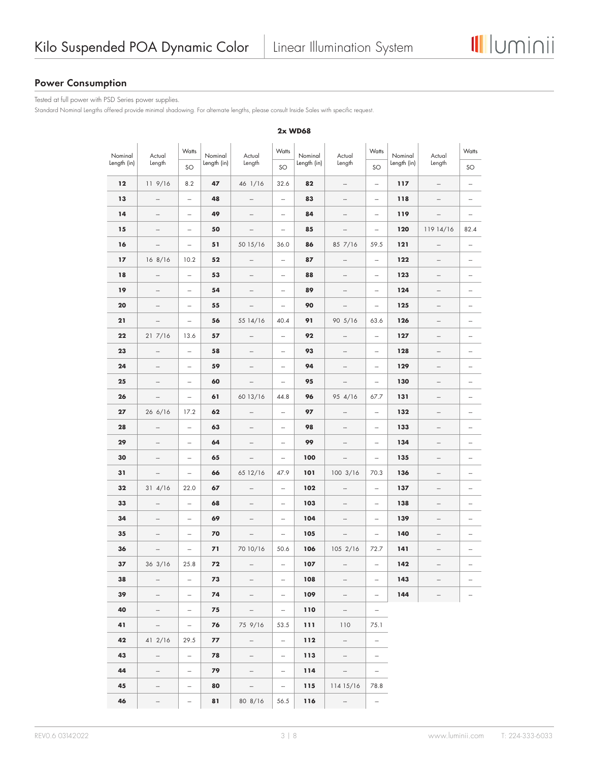# **Power Consumption**

Tested at full power with PSD Series power supplies.

Standard Nominal Lengths offered provide minimal shadowing. For alternate lengths, please consult Inside Sales with specific request.

| Nominal<br>Length (in) | Actual<br>Length         | Watts<br>SO              | Nominal<br>Length (in) | Actual<br>Length         | Watts<br>SO              | Nominal<br>Length (in) | Watts<br>Actual<br>Length<br>SO                                                                                                                                                                                                                                                                                                                                                                                                                                            |                          | Nominal<br>Length (in) | Actual<br>Length         | Watts<br>SO              |
|------------------------|--------------------------|--------------------------|------------------------|--------------------------|--------------------------|------------------------|----------------------------------------------------------------------------------------------------------------------------------------------------------------------------------------------------------------------------------------------------------------------------------------------------------------------------------------------------------------------------------------------------------------------------------------------------------------------------|--------------------------|------------------------|--------------------------|--------------------------|
| 12                     | 119/16                   | 8.2                      | 47                     | 46 1/16                  | 32.6                     | 82                     | $\overline{\phantom{a}}$                                                                                                                                                                                                                                                                                                                                                                                                                                                   | $\overline{\phantom{m}}$ | 117                    | $\overline{\phantom{a}}$ | $\overline{a}$           |
| 13                     | $\frac{1}{2}$            | $\overline{\phantom{0}}$ | 48                     | $\frac{1}{2}$            | $\frac{1}{2}$            | 83                     | $\frac{1}{2} \left( \frac{1}{2} \right) \left( \frac{1}{2} \right) \left( \frac{1}{2} \right) \left( \frac{1}{2} \right) \left( \frac{1}{2} \right) \left( \frac{1}{2} \right) \left( \frac{1}{2} \right) \left( \frac{1}{2} \right) \left( \frac{1}{2} \right) \left( \frac{1}{2} \right) \left( \frac{1}{2} \right) \left( \frac{1}{2} \right) \left( \frac{1}{2} \right) \left( \frac{1}{2} \right) \left( \frac{1}{2} \right) \left( \frac{1}{2} \right) \left( \frac$ | $\frac{1}{2}$            | 118                    | $\frac{1}{2}$            | $\overline{\phantom{0}}$ |
| 14                     | -                        | -                        | 49                     | -                        | $\overline{a}$           | 84                     | $\qquad \qquad \cdots$                                                                                                                                                                                                                                                                                                                                                                                                                                                     | $\overline{\phantom{m}}$ | 119                    | -                        | -                        |
| 15                     |                          | $\overline{\phantom{0}}$ | 50                     | $\overline{\phantom{m}}$ | $\overline{\phantom{a}}$ | 85                     | $\qquad \qquad \blacksquare$                                                                                                                                                                                                                                                                                                                                                                                                                                               | $\overline{\phantom{m}}$ | 120                    | 119 14/16                | 82.4                     |
| 16                     | -                        | -                        | 51                     | 50 15/16                 | 36.0                     | 86                     | 85 7/16                                                                                                                                                                                                                                                                                                                                                                                                                                                                    | 59.5                     | 121                    | -                        | $\overline{\phantom{a}}$ |
| 17                     | 168/16                   | 10.2                     | 52                     | $\overline{\phantom{0}}$ | $\overline{a}$           | 87                     | $\frac{1}{2}$                                                                                                                                                                                                                                                                                                                                                                                                                                                              | $\overline{\phantom{0}}$ | 122                    | $\overline{\phantom{a}}$ | $\overline{\phantom{a}}$ |
| 18                     | $\qquad \qquad -$        | $\overline{\phantom{0}}$ | 53                     | -                        | -                        | 88                     | $\frac{1}{2}$                                                                                                                                                                                                                                                                                                                                                                                                                                                              | $\overline{\phantom{m}}$ | 123                    | -                        | -                        |
| 19                     | $\overline{\phantom{0}}$ | $\overline{\phantom{0}}$ | 54                     | $\overline{\phantom{0}}$ | $\overline{a}$           | 89                     | $\overline{\phantom{m}}$                                                                                                                                                                                                                                                                                                                                                                                                                                                   | $\frac{1}{2}$            | 124                    | $\overline{\phantom{0}}$ |                          |
| 20                     | $\qquad \qquad -$        | $\overline{\phantom{0}}$ | 55                     | $\overline{\phantom{0}}$ | $\overline{\phantom{m}}$ | 90                     | $\overline{\phantom{a}}$                                                                                                                                                                                                                                                                                                                                                                                                                                                   | $\overline{\phantom{m}}$ | 125                    | $\qquad \qquad -$        |                          |
| 21                     | -                        | $\overline{\phantom{0}}$ | 56                     | 55 14/16                 | 40.4                     | 91                     | $90 \frac{5}{16}$                                                                                                                                                                                                                                                                                                                                                                                                                                                          | 63.6                     | 126                    | -                        |                          |
| 22                     | 217/16                   | 13.6                     | 57                     | $\overline{\phantom{0}}$ | $\overline{a}$           | 92                     | $\overline{\phantom{a}}$                                                                                                                                                                                                                                                                                                                                                                                                                                                   | $\frac{1}{2}$            | 127                    | -                        |                          |
| 23                     | $\qquad \qquad \cdots$   | $\overline{\phantom{m}}$ | 58                     | $\overline{\phantom{0}}$ | $\overline{\phantom{m}}$ | 93                     | $\qquad \qquad \blacksquare$                                                                                                                                                                                                                                                                                                                                                                                                                                               | $\overline{\phantom{m}}$ | 128                    | -                        | -                        |
| 24                     | $\overline{\phantom{0}}$ | $\frac{1}{2}$            | 59                     | $\overline{\phantom{0}}$ | $\overline{a}$           | 94                     | $\frac{1}{2}$                                                                                                                                                                                                                                                                                                                                                                                                                                                              | $\frac{1}{2}$            | 129                    | $\frac{1}{2}$            |                          |
| 25                     | -                        | $\overline{\phantom{0}}$ | 60                     | -                        | $\overline{a}$           | 95                     | $\frac{1}{2}$                                                                                                                                                                                                                                                                                                                                                                                                                                                              | -                        | 130                    | -                        |                          |
| 26                     | $\qquad \qquad \cdots$   | $\qquad \qquad -$        | 61                     | 60 13/16                 | 44.8                     | 96                     | 95 4/16                                                                                                                                                                                                                                                                                                                                                                                                                                                                    | 67.7                     | 131                    | $\overline{\phantom{a}}$ | -                        |
| 27                     | 26 6/16                  | 17.2                     | 62                     | $\overline{\phantom{0}}$ | $\overline{\phantom{0}}$ | 97                     | $\overline{\phantom{m}}$                                                                                                                                                                                                                                                                                                                                                                                                                                                   | $\overline{\phantom{m}}$ | 132                    | -                        |                          |
| 28                     | $\overline{\phantom{a}}$ | $\overline{\phantom{0}}$ | 63                     | $\overline{\phantom{0}}$ | $\overline{\phantom{a}}$ | 98                     | $\overline{\phantom{a}}$                                                                                                                                                                                                                                                                                                                                                                                                                                                   | $\frac{1}{2}$            | 133                    | $\overline{\phantom{a}}$ | -                        |
| 29                     |                          | $\overline{\phantom{0}}$ | 64                     | $\overline{a}$           | $\overline{\phantom{0}}$ | 99                     | $\overline{\phantom{m}}$                                                                                                                                                                                                                                                                                                                                                                                                                                                   | $\overline{\phantom{m}}$ | 134                    | $\qquad \qquad -$        |                          |
| 30                     | -                        | -                        | 65                     | $\overline{\phantom{0}}$ | $\overline{\phantom{a}}$ | 100                    | $\qquad \qquad \blacksquare$                                                                                                                                                                                                                                                                                                                                                                                                                                               | $\overline{\phantom{m}}$ | 135                    | $\overline{\phantom{a}}$ |                          |
| 31                     | $\frac{1}{2}$            | $\qquad \qquad -$        | 66                     | 65 12/16                 | 47.9                     | 101                    | $100 \frac{3}{16}$                                                                                                                                                                                                                                                                                                                                                                                                                                                         | 70.3                     | 136                    | $\frac{1}{2}$            | $\overline{\phantom{a}}$ |
| 32                     | 314/16                   | 22.0                     | 67                     | -                        | $\overline{\phantom{0}}$ | 102                    |                                                                                                                                                                                                                                                                                                                                                                                                                                                                            | $\qquad \qquad -$        | 137                    |                          |                          |
| 33                     | -                        | $\overline{\phantom{0}}$ | 68                     | -                        | $\overline{\phantom{0}}$ | 103                    | $\overline{\phantom{m}}$                                                                                                                                                                                                                                                                                                                                                                                                                                                   | $\overline{\phantom{0}}$ | 138                    | -                        |                          |
| 34                     | $\overline{\phantom{0}}$ | $\overline{\phantom{0}}$ | 69                     |                          | $\overline{\phantom{m}}$ | 104                    | $\overline{\phantom{a}}$                                                                                                                                                                                                                                                                                                                                                                                                                                                   | $\overline{\phantom{m}}$ | 139                    |                          | -                        |
| 35                     | $\overline{\phantom{a}}$ | $\overline{\phantom{m}}$ | 70                     |                          | $\overline{\phantom{a}}$ | 105                    | $\qquad \qquad -$                                                                                                                                                                                                                                                                                                                                                                                                                                                          | $\qquad \qquad -$        | 140                    | $\overline{\phantom{a}}$ |                          |
| 36                     | $\overline{\phantom{0}}$ | $\overline{\phantom{0}}$ | 71                     | 70 10/16                 | 50.6                     | 106                    | 1052/16                                                                                                                                                                                                                                                                                                                                                                                                                                                                    | 72.7                     | 141                    | -                        |                          |
| 37                     | 36 3/16                  | 25.8                     | 72                     | -                        | -                        | 107                    | $\overline{\phantom{a}}$                                                                                                                                                                                                                                                                                                                                                                                                                                                   | -                        | 142                    |                          |                          |
| 38                     | $\overline{\phantom{0}}$ | $\overline{\phantom{a}}$ | 73                     | $\overline{\phantom{0}}$ | $\frac{1}{2}$            | 108                    | $\overline{\phantom{a}}$                                                                                                                                                                                                                                                                                                                                                                                                                                                   | $\frac{1}{2}$            | 143                    |                          |                          |
| 39                     | -                        | ÷                        | 74                     | $\overline{\phantom{0}}$ | $\overline{\phantom{0}}$ | 109                    | $\overline{\phantom{a}}$                                                                                                                                                                                                                                                                                                                                                                                                                                                   | $\overline{\phantom{0}}$ | 144                    |                          |                          |
| 40                     | $\overline{\phantom{0}}$ | $\frac{1}{2}$            | 75                     | $\overline{\phantom{0}}$ | $\overline{\phantom{a}}$ | 110                    | $\overline{\phantom{a}}$                                                                                                                                                                                                                                                                                                                                                                                                                                                   | $\overline{\phantom{a}}$ |                        |                          |                          |
| 41                     | $\overline{\phantom{a}}$ | $\overline{\phantom{a}}$ | 76                     | 75 9/16                  | 53.5                     | 111                    | 110                                                                                                                                                                                                                                                                                                                                                                                                                                                                        | 75.1                     |                        |                          |                          |
| 42                     | 41 2/16                  | 29.5                     | 77                     | $\overline{\phantom{a}}$ | $\bar{a}$                | 112                    | $\overline{\phantom{a}}$                                                                                                                                                                                                                                                                                                                                                                                                                                                   | $\overline{\phantom{a}}$ |                        |                          |                          |
| 43                     | $\overline{\phantom{0}}$ | $\overline{\phantom{a}}$ | 78                     | $\overline{\phantom{0}}$ | -                        | 113                    | $\overline{\phantom{a}}$                                                                                                                                                                                                                                                                                                                                                                                                                                                   | $\overline{\phantom{a}}$ |                        |                          |                          |
| 44                     |                          | $\overline{\phantom{a}}$ | 79                     | $\overline{\phantom{0}}$ | $\overline{\phantom{a}}$ | 114                    | $\overline{\phantom{a}}$                                                                                                                                                                                                                                                                                                                                                                                                                                                   | $\overline{\phantom{a}}$ |                        |                          |                          |
| 45                     | $\overline{\phantom{0}}$ | $\qquad \qquad -$        | 80                     | $\overline{\phantom{a}}$ | $\overline{\phantom{a}}$ | 115                    | 114 15/16                                                                                                                                                                                                                                                                                                                                                                                                                                                                  | 78.8                     |                        |                          |                          |
| 46                     |                          | $\overline{a}$           | 81                     | 80 8/16                  | 56.5                     | 116                    | $\overline{\phantom{0}}$                                                                                                                                                                                                                                                                                                                                                                                                                                                   | $\equiv$                 |                        |                          |                          |

#### **2x WD68**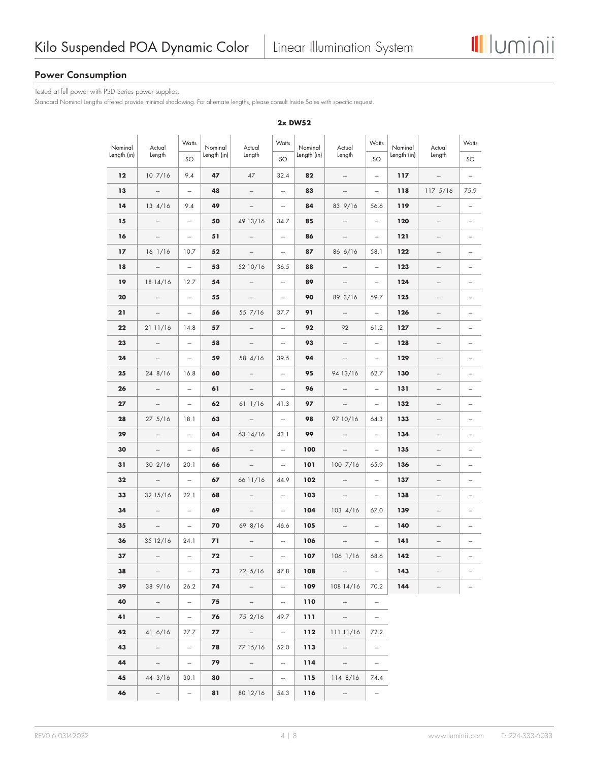

# **Power Consumption**

Tested at full power with PSD Series power supplies.

Standard Nominal Lengths offered provide minimal shadowing. For alternate lengths, please consult Inside Sales with specific request.

| Nominal     | Actual                       | Watts                    | Nominal     | Actual                    | Watts                    | Nominal     | Actual                                                                                                                                                                                                                                                                                                                                                                                                                                                                     | Watts                    | Nominal     | Actual                       | Watts                    |
|-------------|------------------------------|--------------------------|-------------|---------------------------|--------------------------|-------------|----------------------------------------------------------------------------------------------------------------------------------------------------------------------------------------------------------------------------------------------------------------------------------------------------------------------------------------------------------------------------------------------------------------------------------------------------------------------------|--------------------------|-------------|------------------------------|--------------------------|
| Length (in) | Length                       | SO                       | Length (in) | Length                    | SO                       | Length (in) | Length                                                                                                                                                                                                                                                                                                                                                                                                                                                                     | SO                       | Length (in) | Length                       | SO                       |
| 12          | 107/16                       | 9.4                      | 47          | 47                        | 32.4                     | 82          | $\overline{\phantom{a}}$                                                                                                                                                                                                                                                                                                                                                                                                                                                   | $\overline{\phantom{m}}$ | 117         | $\overline{\phantom{a}}$     | $\overline{\phantom{m}}$ |
| 13          | $\overline{\phantom{a}}$     | $\frac{1}{2}$            | 48          | $\overline{\phantom{m}}$  | $\overline{\phantom{a}}$ | 83          | $\overline{\phantom{m}}$                                                                                                                                                                                                                                                                                                                                                                                                                                                   | $\frac{1}{2}$            | 118         | 1175/16                      | 75.9                     |
| 14          | $13 \frac{4}{16}$            | 9.4                      | 49          | $\overline{\phantom{0}}$  | $\overline{\phantom{0}}$ | 84          | 83 9/16                                                                                                                                                                                                                                                                                                                                                                                                                                                                    | 56.6                     | 119         | $\overline{\phantom{a}}$     |                          |
| 15          | $\overline{\phantom{m}}$     | $\overline{\phantom{m}}$ | 50          | 49 13/16                  | 34.7                     | 85          | $\overline{\phantom{a}}$                                                                                                                                                                                                                                                                                                                                                                                                                                                   | $\overline{\phantom{a}}$ | 120         | $\qquad \qquad \blacksquare$ | $\overline{\phantom{a}}$ |
| 16          | $\frac{1}{2}$                | $\frac{1}{2}$            | 51          | $\frac{1}{2}$             | $\frac{1}{2}$            | 86          | $\frac{1}{2} \left( \frac{1}{2} \right) \left( \frac{1}{2} \right) \left( \frac{1}{2} \right) \left( \frac{1}{2} \right) \left( \frac{1}{2} \right) \left( \frac{1}{2} \right) \left( \frac{1}{2} \right) \left( \frac{1}{2} \right) \left( \frac{1}{2} \right) \left( \frac{1}{2} \right) \left( \frac{1}{2} \right) \left( \frac{1}{2} \right) \left( \frac{1}{2} \right) \left( \frac{1}{2} \right) \left( \frac{1}{2} \right) \left( \frac{1}{2} \right) \left( \frac$ | $\overline{\phantom{a}}$ | 121         | $\overline{\phantom{a}}$     |                          |
| $17$        | $16$ $1/16$                  | 10.7                     | 52          | $\qquad \qquad -$         | $\overline{\phantom{0}}$ | 87          | 86 6/16                                                                                                                                                                                                                                                                                                                                                                                                                                                                    | 58.1                     | 122         |                              |                          |
| 18          | $\overline{\phantom{a}}$     | $\overline{\phantom{0}}$ | 53          | 52 10/16                  | 36.5                     | 88          |                                                                                                                                                                                                                                                                                                                                                                                                                                                                            | $\frac{1}{2}$            | 123         | $\overline{\phantom{m}}$     |                          |
| 19          | 18 14/16                     | 12.7                     | 54          | $\frac{1}{2}$             | $\overline{\phantom{0}}$ | 89          | $\overline{\phantom{a}}$                                                                                                                                                                                                                                                                                                                                                                                                                                                   | $\overline{\phantom{a}}$ | 124         | $\qquad \qquad -$            |                          |
| 20          | $\overline{\phantom{a}}$     | $\overline{\phantom{0}}$ | 55          | $\overline{\phantom{0}}$  | $\frac{1}{2}$            | 90          | 89 3/16                                                                                                                                                                                                                                                                                                                                                                                                                                                                    | 59.7                     | 125         | $\overline{\phantom{m}}$     |                          |
| 21          | $\qquad \qquad \blacksquare$ | $\overline{\phantom{0}}$ | 56          | 55 7/16                   | 37.7                     | 91          | $\frac{1}{2}$                                                                                                                                                                                                                                                                                                                                                                                                                                                              | $\overline{\phantom{a}}$ | 126         | -                            |                          |
| 22          | 21 11/16                     | 14.8                     | 57          | $\overline{\phantom{m}}$  | $\frac{1}{2}$            | 92          | 92                                                                                                                                                                                                                                                                                                                                                                                                                                                                         | 61.2                     | 127         | $\overline{\phantom{m}}$     |                          |
| 23          | $\frac{1}{2}$                | $\frac{1}{2}$            | 58          | $\overline{\phantom{a}}$  | $\frac{1}{2}$            | 93          | $\overline{\phantom{a}}$                                                                                                                                                                                                                                                                                                                                                                                                                                                   | $\overline{\phantom{a}}$ | 128         | $\qquad \qquad -$            |                          |
| 24          | $\qquad \qquad -$            | $\overline{a}$           | 59          | 58 4/16                   | 39.5                     | 94          | $\overline{\phantom{a}}$                                                                                                                                                                                                                                                                                                                                                                                                                                                   | $\frac{1}{2}$            | 129         | -                            |                          |
| 25          | 24 8/16                      | 16.8                     | 60          |                           | $\overline{\phantom{0}}$ | 95          | 94 13/16                                                                                                                                                                                                                                                                                                                                                                                                                                                                   | 62.7                     | 130         |                              |                          |
| 26          | $\qquad \qquad \blacksquare$ | $\overline{\phantom{m}}$ | 61          | $\overline{\phantom{a}}$  | $\overline{\phantom{0}}$ | 96          | $\overline{\phantom{m}}$                                                                                                                                                                                                                                                                                                                                                                                                                                                   | $\overline{\phantom{a}}$ | 131         | $\qquad \qquad -$            |                          |
| 27          | $\overline{\phantom{a}}$     | $\overline{\phantom{0}}$ | 62          | 611/16                    | 41.3                     | 97          | $\overline{\phantom{a}}$                                                                                                                                                                                                                                                                                                                                                                                                                                                   | $\qquad \qquad -$        | 132         | $\overline{\phantom{a}}$     |                          |
| 28          | $27 \frac{5}{16}$            | 18.1                     | 63          |                           | $\overline{a}$           | 98          | 97 10/16                                                                                                                                                                                                                                                                                                                                                                                                                                                                   | 64.3                     | 133         | -                            |                          |
| 29          | $\overline{\phantom{m}}$     | $\overline{\phantom{0}}$ | 64          | 63 14/16                  | 43.1                     | 99          | $\overline{\phantom{a}}$                                                                                                                                                                                                                                                                                                                                                                                                                                                   | $\overline{\phantom{a}}$ | 134         | $\qquad \qquad -$            |                          |
| 30          | $\overline{\phantom{a}}$     | $\overline{\phantom{0}}$ | 65          | $\overline{\phantom{0}}$  | $\overline{\phantom{m}}$ | 100         | $\overline{\phantom{a}}$                                                                                                                                                                                                                                                                                                                                                                                                                                                   | $\overline{\phantom{a}}$ | 135         | $\qquad \qquad -$            |                          |
| 31          | 302/16                       | 20.1                     | 66          | -                         | -                        | 101         | 1007/16                                                                                                                                                                                                                                                                                                                                                                                                                                                                    | 65.9                     | 136         | -                            |                          |
| 32          | $\overline{\phantom{a}}$     | $\overline{\phantom{0}}$ | 67          | 66 11/16                  | 44.9                     | 102         |                                                                                                                                                                                                                                                                                                                                                                                                                                                                            | $\overline{\phantom{0}}$ | 137         |                              |                          |
| 33          | 32 15/16                     | 22.1                     | 68          | $\overline{\phantom{m}}$  | $\frac{1}{2}$            | 103         | $\overline{\phantom{a}}$                                                                                                                                                                                                                                                                                                                                                                                                                                                   | $\overline{\phantom{m}}$ | 138         |                              |                          |
| 34          | $\overline{\phantom{a}}$     | $\overline{\phantom{0}}$ | 69          | $\frac{1}{2}$             | $\frac{1}{2}$            | 104         | $103 \frac{4}{16}$                                                                                                                                                                                                                                                                                                                                                                                                                                                         | 67.0                     | 139         | $\frac{1}{2}$                |                          |
| 35          | $\qquad \qquad -$            | -                        | 70          | 69 8/16                   | 46.6                     | 105         |                                                                                                                                                                                                                                                                                                                                                                                                                                                                            | $\overline{\phantom{0}}$ | 140         |                              |                          |
| 36          | 35 12/16                     | 24.1                     | 71          | $\overline{\phantom{m}}$  | $\overline{a}$           | 106         | $\overline{\phantom{m}}$                                                                                                                                                                                                                                                                                                                                                                                                                                                   | $\frac{1}{2}$            | 141         | $\overline{\phantom{m}}$     |                          |
| 37          |                              |                          | 72          |                           |                          | 107         | 106 1/16                                                                                                                                                                                                                                                                                                                                                                                                                                                                   | 68.6                     | $142$       |                              |                          |
| 38          | $\sim$                       | $\overline{\phantom{a}}$ | 73          | 72 5/16                   | 47.8                     | 108         | $\sim$ 100 $\mu$                                                                                                                                                                                                                                                                                                                                                                                                                                                           | $\sim$                   | 143         |                              |                          |
| 39          | 38 9/16                      | 26.2                     | 74          | $\sim$ $-$                | $\sim$                   | 109         | $10814/16$ 70.2                                                                                                                                                                                                                                                                                                                                                                                                                                                            |                          | 144         |                              |                          |
| 40          | $\sim$ $-$                   | $\sim$                   | 75          | $\sim$ $ \sim$            | $\sim$                   | 110         | $\sim$ $ -$                                                                                                                                                                                                                                                                                                                                                                                                                                                                | $\overline{\phantom{m}}$ |             |                              |                          |
| 41          | $\sim$ $-$                   | $\overline{\phantom{a}}$ | 76          | 75 2/16                   | 49.7                     | 111         | $\sim$ 100 $\mu$                                                                                                                                                                                                                                                                                                                                                                                                                                                           | $\sim$                   |             |                              |                          |
| 42          | 41 6/16                      | 27.7                     | 77          | $\mathcal{L}=\mathcal{L}$ | $\equiv$                 | 112         | 111 11/16                                                                                                                                                                                                                                                                                                                                                                                                                                                                  | 72.2                     |             |                              |                          |
| 43          | $\equiv$ .                   | $\overline{\phantom{a}}$ | 78          | 77 15/16                  | 52.0                     | 113         | $\sim$                                                                                                                                                                                                                                                                                                                                                                                                                                                                     | $\overline{\phantom{a}}$ |             |                              |                          |
| 44          | $\sim$ $-$                   | $\sim$                   | 79          | $\overline{\phantom{a}}$  | $\sim$                   | 114         | $\sim 100$                                                                                                                                                                                                                                                                                                                                                                                                                                                                 | $\sim$ .                 |             |                              |                          |
| 45          | 44 3/16                      | 30.1                     | 80          | $ \,$                     | $\overline{\phantom{a}}$ | 115         | 1148/16                                                                                                                                                                                                                                                                                                                                                                                                                                                                    | 74.4                     |             |                              |                          |
| 46          | $\sim$                       | $\overline{\phantom{a}}$ | 81          | 80 12/16                  | 54.3                     | 116         | $\sim$                                                                                                                                                                                                                                                                                                                                                                                                                                                                     | $\overline{\phantom{a}}$ |             |                              |                          |

#### **2x DW52**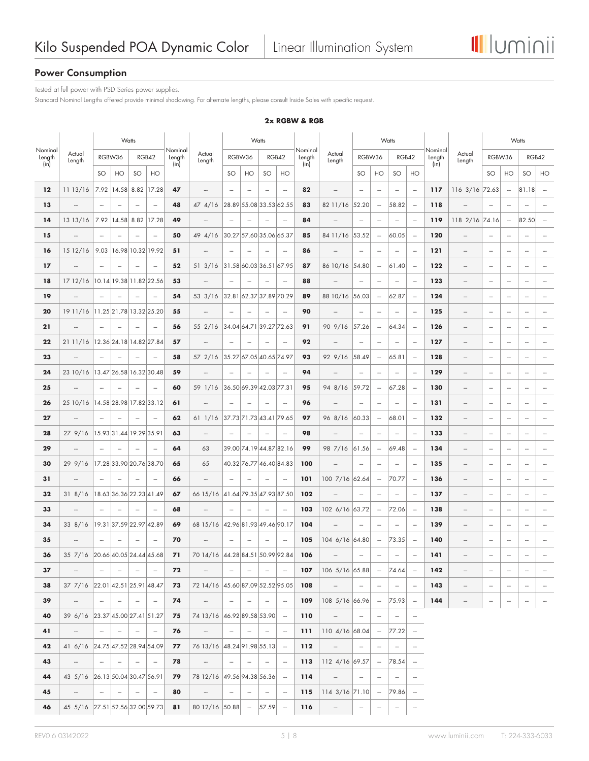

# **Power Consumption**

Tested at full power with PSD Series power supplies.

Standard Nominal Lengths offered provide minimal shadowing. For alternate lengths, please consult Inside Sales with specific request.

**2x RGBW & RGB**

|                   |                                  |                          |                          | Watts                    |                          |                   |                                  |                          |                          | Watts                    |                          |                   |                          |                          |                                 | Watts                    |                          |                   |                          | Watts                    |                          |                                                                                                                                                                                                                                                                                                                                                                                                                                                                            |                          |  |
|-------------------|----------------------------------|--------------------------|--------------------------|--------------------------|--------------------------|-------------------|----------------------------------|--------------------------|--------------------------|--------------------------|--------------------------|-------------------|--------------------------|--------------------------|---------------------------------|--------------------------|--------------------------|-------------------|--------------------------|--------------------------|--------------------------|----------------------------------------------------------------------------------------------------------------------------------------------------------------------------------------------------------------------------------------------------------------------------------------------------------------------------------------------------------------------------------------------------------------------------------------------------------------------------|--------------------------|--|
| Nominal<br>Length | Actual<br>Length                 |                          | RGBW36                   |                          | RGB42                    | Nominal<br>Length | Actual<br>Length                 |                          | RGBW36                   |                          | RGB42                    | Nominal<br>Length | Actual<br>Length         | RGBW36                   |                                 | RGB42                    |                          | Nominal<br>Length | Actual<br>Length         | RGBW36                   |                          | RGB42                                                                                                                                                                                                                                                                                                                                                                                                                                                                      |                          |  |
| (in)              |                                  | SO                       | HO                       | SO                       | HO                       | (in)              |                                  | SO                       | HO                       | SO                       | HO                       | (in)              |                          | <b>SO</b>                | HO                              | SO                       | HO                       | (in)              |                          | SO                       | HO                       | SO                                                                                                                                                                                                                                                                                                                                                                                                                                                                         | HO                       |  |
| $12 \,$           | 11 13/16                         | 7.92                     | 14.58                    | 8.82                     | 17.28                    | 47                | $\overline{\phantom{a}}$         |                          | $\overline{\phantom{a}}$ | $\overline{\phantom{a}}$ | $\overline{\phantom{m}}$ | 82                | $\overline{\phantom{0}}$ | $\frac{1}{2}$            | $\overline{\phantom{a}}$        | $\overline{\phantom{a}}$ | $\overline{\phantom{a}}$ | 117               | 116 3/16 72.63           |                          | $\overline{\phantom{a}}$ | 81.18                                                                                                                                                                                                                                                                                                                                                                                                                                                                      | $\overline{\phantom{a}}$ |  |
| 13                | $\overline{\phantom{0}}$         | $\overline{\phantom{a}}$ | $\sim$                   | $\overline{\phantom{a}}$ | $\overline{\phantom{a}}$ | 48                | 474/16                           |                          |                          |                          | 28.89 55.08 33.53 62.55  | 83                | 82 11/16 52.20           |                          | $\overline{\phantom{a}}$        | 58.82                    | $\sim$                   | 118               |                          | $\overline{\phantom{a}}$ | $\overline{\phantom{a}}$ | $\overline{\phantom{a}}$                                                                                                                                                                                                                                                                                                                                                                                                                                                   | $\overline{\phantom{a}}$ |  |
| 14                | 13 13/16                         | 7.92                     | 14.58 8.82               |                          | 17.28                    | 49                | $\overline{\phantom{m}}$         | $\overline{\phantom{a}}$ | $\overline{\phantom{a}}$ | $\sim$                   | $\overline{\phantom{m}}$ | 84                | $\overline{\phantom{a}}$ | $\overline{\phantom{a}}$ | $\overline{\phantom{a}}$        | $\overline{\phantom{a}}$ | $\overline{\phantom{a}}$ | 119               | 118 2/16 74.16           |                          | $\overline{\phantom{m}}$ | 82.50                                                                                                                                                                                                                                                                                                                                                                                                                                                                      | $\overline{a}$           |  |
| 15                | -                                | $\overline{\phantom{a}}$ | $\overline{\phantom{m}}$ | $\overline{\phantom{0}}$ | $\frac{1}{2}$            | 50                | 49 4/16                          |                          | 30.27 57.60 35.06 65.37  |                          |                          | 85                | 84 11/16 53.52           |                          | $\overline{\phantom{a}}$        | 60.05                    | $\overline{\phantom{a}}$ | 120               | $\overline{a}$           | $\overline{\phantom{a}}$ | $\overline{\phantom{m}}$ | -                                                                                                                                                                                                                                                                                                                                                                                                                                                                          | -                        |  |
| 16                | 1512/16                          | 9.03                     |                          | 16.98 10.32 19.92        |                          | 51                | $\overline{\phantom{a}}$         | $\overline{a}$           |                          | $\overline{\phantom{a}}$ | $\overline{\phantom{a}}$ | 86                |                          | $\overline{a}$           | $\overline{a}$                  | $\overline{\phantom{a}}$ | $\overline{\phantom{a}}$ | 121               | $\overline{\phantom{m}}$ | $\overline{\phantom{a}}$ | $\overline{\phantom{a}}$ | $\overline{\phantom{a}}$                                                                                                                                                                                                                                                                                                                                                                                                                                                   | $\overline{\phantom{a}}$ |  |
| $17$              |                                  | $\overline{\phantom{a}}$ | $\overline{\phantom{a}}$ | $\overline{\phantom{0}}$ | $\overline{\phantom{a}}$ | 52                | $51 \frac{3}{16}$                |                          |                          |                          | 31.58 60.03 36.51 67.95  | 87                | 86 10/16 54.80           |                          | $\overline{\phantom{a}}$        | 61.40                    | $\overline{\phantom{a}}$ | 122               | $\overline{\phantom{0}}$ | $\overline{a}$           | $\overline{a}$           | $\overline{a}$                                                                                                                                                                                                                                                                                                                                                                                                                                                             |                          |  |
| 18                | 1712/16                          |                          | 10.14 19.38 11.82 22.56  |                          |                          | 53                | $\overline{\phantom{a}}$         | $\sim$                   | $\overline{\phantom{a}}$ | $\overline{\phantom{a}}$ | $\overline{\phantom{a}}$ | 88                | $\overline{\phantom{0}}$ | $\overline{\phantom{a}}$ | $\overline{\phantom{a}}$        | $\overline{\phantom{a}}$ | $\overline{\phantom{a}}$ | 123               | $\overline{\phantom{0}}$ | $\overline{\phantom{a}}$ | $\overline{\phantom{a}}$ | $\overline{\phantom{a}}$                                                                                                                                                                                                                                                                                                                                                                                                                                                   | $\overline{\phantom{a}}$ |  |
| 19                | -                                |                          |                          |                          | $\overline{\phantom{a}}$ | 54                | 53 3/16                          |                          | 32.81 62.37 37.89 70.29  |                          |                          | 89                | 88 10/16 56.03           |                          | $\overline{\phantom{a}}$        | 62.87                    |                          | 124               | $\overline{\phantom{0}}$ | $\overline{a}$           | $\overline{\phantom{a}}$ | -                                                                                                                                                                                                                                                                                                                                                                                                                                                                          | $\overline{\phantom{a}}$ |  |
| 20                | 19 11/16                         |                          | 11.25 21.78 13.32 25.20  |                          |                          | 55                | $\overline{\phantom{a}}$         | $\overline{\phantom{a}}$ | $\overline{\phantom{m}}$ | $\overline{\phantom{a}}$ | $\overline{\phantom{m}}$ | 90                | $\overline{\phantom{a}}$ | $\overline{a}$           | $\overline{a}$                  | $\overline{\phantom{a}}$ | $\overline{\phantom{a}}$ | 125               | -                        | $\overline{\phantom{a}}$ | $\overline{\phantom{a}}$ | -                                                                                                                                                                                                                                                                                                                                                                                                                                                                          | $\overline{\phantom{m}}$ |  |
| 21                | $\overline{\phantom{0}}$         | $\overline{\phantom{a}}$ | $\frac{1}{2}$            | -                        | $\overline{\phantom{a}}$ | 56                | 55 2/16                          |                          | 34.04 64.71 39.27 72.63  |                          |                          | 91                | 90 9/16                  | 57.26                    | $\overline{\phantom{m}}$        | 64.34                    |                          | 126               | -                        | $\overline{\phantom{a}}$ | $\overline{\phantom{a}}$ | -                                                                                                                                                                                                                                                                                                                                                                                                                                                                          | -                        |  |
| 22                | 2111/16                          |                          | 12.36 24.18 14.82 27.84  |                          |                          | 57                | $\overline{\phantom{a}}$         | $\overline{\phantom{a}}$ | $\overline{\phantom{a}}$ | $\sim$                   | $\overline{a}$           | 92                |                          | $\overline{\phantom{a}}$ | $\overline{\phantom{a}}$        | $\overline{\phantom{a}}$ | $\sim$                   | 127               | $\overline{\phantom{0}}$ | $\overline{a}$           | $\overline{\phantom{a}}$ | $\overline{\phantom{a}}$                                                                                                                                                                                                                                                                                                                                                                                                                                                   | $\overline{\phantom{a}}$ |  |
| 23                | $\frac{1}{2}$                    | $\sim$                   |                          |                          | $\overline{\phantom{a}}$ | 58                | 57 2/16                          |                          | 35.27 67.05 40.65 74.97  |                          |                          | 93                | 92 9/16                  | 58.49                    | $\overline{\phantom{a}}$        | 65.81                    | $\overline{\phantom{a}}$ | 128               | $\overline{a}$           | $\overline{a}$           | $\overline{\phantom{a}}$ | -                                                                                                                                                                                                                                                                                                                                                                                                                                                                          | $\overline{\phantom{a}}$ |  |
| 24                | 23 10/16 13.47 26.58 16.32 30.48 |                          |                          |                          |                          | 59                | $\overline{\phantom{a}}$         | $\overline{\phantom{a}}$ | $\frac{1}{2}$            | $\overline{\phantom{a}}$ | $\overline{\phantom{m}}$ | 94                |                          | -                        | $\overline{\phantom{a}}$        | $\frac{1}{2}$            | $\frac{1}{2}$            | 129               | -                        | $\overline{a}$           | -                        |                                                                                                                                                                                                                                                                                                                                                                                                                                                                            | -                        |  |
| 25                | -                                | $\overline{\phantom{a}}$ | $\overline{\phantom{a}}$ |                          |                          | 60                | 59 1/16                          |                          | 36.50 69.39 42.03 77.31  |                          |                          | 95                | 94 8/16                  | 59.72                    | $\overline{\phantom{a}}$        | 67.28                    | $\overline{\phantom{a}}$ | 130               | -                        | $\overline{\phantom{a}}$ | $\overline{\phantom{a}}$ | -                                                                                                                                                                                                                                                                                                                                                                                                                                                                          |                          |  |
| 26                | 25 10/16                         |                          | 14.58 28.98 17.82 33.12  |                          |                          | 61                | $\frac{1}{2}$                    | $\overline{\phantom{a}}$ |                          | $\frac{1}{2}$            | $\frac{1}{2}$            | 96                | $\overline{\phantom{0}}$ | $\frac{1}{2}$            | $\overline{\phantom{a}}$        | $\frac{1}{2}$            | $\overline{\phantom{a}}$ | 131               | $\overline{\phantom{0}}$ | $\overline{\phantom{a}}$ | $\overline{\phantom{a}}$ | $\overline{\phantom{a}}$                                                                                                                                                                                                                                                                                                                                                                                                                                                   |                          |  |
| 27                | $\overline{\phantom{a}}$         | $\sim$                   | $\overline{\phantom{a}}$ | $\overline{\phantom{a}}$ | $\overline{\phantom{a}}$ | 62                | 611/16                           |                          |                          |                          | 37.73 71.73 43.41 79.65  | 97                | 96 8/16                  | 60.33                    | $\overline{\phantom{a}}$        | 68.01                    | $\sim$                   | 132               | $\overline{\phantom{0}}$ | $\overline{\phantom{a}}$ | $\overline{\phantom{a}}$ | $\overline{\phantom{a}}$                                                                                                                                                                                                                                                                                                                                                                                                                                                   | $\overline{\phantom{a}}$ |  |
| 28                | 27 9/16                          |                          | 15.93 31.44 19.29 35.91  |                          |                          | 63                | $\overline{\phantom{a}}$         | $\overline{\phantom{a}}$ |                          |                          | $\overline{\phantom{a}}$ | 98                |                          | $\overline{\phantom{a}}$ | $\overline{a}$                  | $\overline{\phantom{a}}$ | $\overline{\phantom{a}}$ | 133               | -                        | $\overline{\phantom{a}}$ | $\overline{\phantom{a}}$ | -                                                                                                                                                                                                                                                                                                                                                                                                                                                                          | $\overline{\phantom{a}}$ |  |
| 29                | $\overline{\phantom{0}}$         | $\overline{\phantom{a}}$ | $\overline{\phantom{a}}$ |                          | $\overline{\phantom{a}}$ | 64                | 63                               |                          |                          |                          | 39.00 74.19 44.87 82.16  | 99                | 98 7/16                  | 61.56                    | $\overline{\phantom{a}}$        | 69.48                    | $\sim$                   | 134               | $\overline{\phantom{a}}$ | $\overline{\phantom{a}}$ | $\overline{\phantom{a}}$ | -                                                                                                                                                                                                                                                                                                                                                                                                                                                                          | $\overline{\phantom{a}}$ |  |
| 30                | 29 9/16                          |                          | 17.28 33.90 20.76 38.70  |                          |                          | 65                | 65                               |                          |                          |                          | 40.32 76.77 46.40 84.83  | 100               | $\overline{a}$           | $\overline{\phantom{m}}$ | $\overline{\phantom{a}}$        | $\overline{\phantom{a}}$ | $\overline{\phantom{a}}$ | 135               | $\overline{\phantom{m}}$ | $\overline{\phantom{a}}$ | $\overline{\phantom{a}}$ | -                                                                                                                                                                                                                                                                                                                                                                                                                                                                          | $\overline{\phantom{a}}$ |  |
| 31                | $\overline{\phantom{0}}$         | $\overline{\phantom{a}}$ | $\overline{\phantom{a}}$ | $\overline{\phantom{a}}$ | $\overline{\phantom{a}}$ | 66                | $\overline{\phantom{a}}$         | $\sim$                   | $\overline{\phantom{a}}$ | $\overline{\phantom{a}}$ | $\frac{1}{2}$            | 101               | 100 7/16 62.64           |                          | $\overline{\phantom{m}}$        | 70.77                    | $\overline{\phantom{a}}$ | 136               | $\overline{\phantom{0}}$ | $\overline{a}$           | $\overline{a}$           | $\overline{a}$                                                                                                                                                                                                                                                                                                                                                                                                                                                             | -                        |  |
| 32                | 318/16                           |                          | 18.63 36.36 22.23 41.49  |                          |                          | 67                | 66 15/16 41.64 79.35 47.93 87.50 |                          |                          |                          |                          | 102               |                          | $\overline{\phantom{m}}$ | $\overline{\phantom{a}}$        | $\frac{1}{2}$            | $\overline{\phantom{a}}$ | 137               | $\overline{\phantom{m}}$ | $\overline{\phantom{a}}$ | $\overline{\phantom{a}}$ | -                                                                                                                                                                                                                                                                                                                                                                                                                                                                          | $\overline{\phantom{a}}$ |  |
| 33                | $\overline{\phantom{a}}$         | $\overline{\phantom{a}}$ | $\overline{\phantom{a}}$ | $\overline{\phantom{a}}$ | $\overline{\phantom{a}}$ | 68                | $\overline{\phantom{a}}$         | $\sim$                   | $\overline{\phantom{a}}$ | $\overline{\phantom{a}}$ | $\overline{\phantom{a}}$ | 103               | 102 6/16 63.72           |                          | $\overline{\phantom{a}}$        | 72.06                    | $\overline{\phantom{a}}$ | 138               | -                        | $\overline{a}$           | $\overline{\phantom{m}}$ |                                                                                                                                                                                                                                                                                                                                                                                                                                                                            | $\overline{\phantom{a}}$ |  |
| 34                | 338/16                           |                          | 19.31 37.59 22.97 42.89  |                          |                          | 69                | 68 15/16                         | 42.96 81.93 49.46 90.17  |                          |                          |                          | 104               | $\overline{\phantom{a}}$ | $\overline{\phantom{0}}$ | $\overline{\phantom{a}}$        | $\overline{\phantom{a}}$ | $\overline{\phantom{a}}$ | 139               | $\overline{\phantom{0}}$ | $\overline{\phantom{a}}$ | $\overline{\phantom{a}}$ | -                                                                                                                                                                                                                                                                                                                                                                                                                                                                          | -                        |  |
| 35                |                                  |                          |                          |                          | $\overline{\phantom{a}}$ | 70                |                                  |                          |                          | $\overline{\phantom{a}}$ | $\overline{\phantom{a}}$ | 105               | 104 6/16 64.80           |                          | $\overline{\phantom{a}}$        | 73.35                    |                          | 140               | -                        | $\overline{\phantom{a}}$ | $\overline{\phantom{m}}$ | -                                                                                                                                                                                                                                                                                                                                                                                                                                                                          | -                        |  |
| 36                | 35 7/16 20.66 40.05 24.44 45.68  |                          |                          |                          |                          | 71                | 70 14/16 44.28 84.51 50.99 92.84 |                          |                          |                          |                          | 106               | $\overline{\phantom{0}}$ | $\overline{\phantom{a}}$ | $\overline{\phantom{a}}$        | $\overline{\phantom{a}}$ | $\overline{\phantom{a}}$ | 141               | $\overline{\phantom{0}}$ | $\overline{\phantom{a}}$ | $\overline{\phantom{a}}$ | $\overline{\phantom{a}}$                                                                                                                                                                                                                                                                                                                                                                                                                                                   | $\overline{\phantom{a}}$ |  |
| 37                | $\overline{\phantom{a}}$         | $\overline{\phantom{m}}$ | $\sim$                   | $\overline{\phantom{a}}$ | $\overline{\phantom{a}}$ | 72                | $\overline{\phantom{a}}$         | $\overline{\phantom{m}}$ | $\overline{\phantom{a}}$ | $\overline{\phantom{a}}$ | $\overline{\phantom{a}}$ | 107               | 106 5/16 65.88           |                          | $\sim$                          | 74.64                    | $\overline{\phantom{a}}$ | 142               | $\overline{\phantom{0}}$ | $\overline{\phantom{a}}$ | $\overline{\phantom{a}}$ | $\frac{1}{2} \left( \frac{1}{2} \right) \left( \frac{1}{2} \right) \left( \frac{1}{2} \right) \left( \frac{1}{2} \right) \left( \frac{1}{2} \right) \left( \frac{1}{2} \right) \left( \frac{1}{2} \right) \left( \frac{1}{2} \right) \left( \frac{1}{2} \right) \left( \frac{1}{2} \right) \left( \frac{1}{2} \right) \left( \frac{1}{2} \right) \left( \frac{1}{2} \right) \left( \frac{1}{2} \right) \left( \frac{1}{2} \right) \left( \frac{1}{2} \right) \left( \frac$ |                          |  |
| 38                | 37 7/16 22.01 42.51 25.91 48.47  |                          |                          |                          |                          | 73                | 72 14/16 45.60 87.09 52.52 95.05 |                          |                          |                          |                          | 108               |                          | $\overline{\phantom{a}}$ | $\qquad \qquad \blacksquare$    | $\overline{\phantom{m}}$ | $\overline{\phantom{m}}$ | 143               | $\overline{\phantom{a}}$ | $\overline{\phantom{m}}$ | $\overline{\phantom{a}}$ | $\overline{\phantom{a}}$                                                                                                                                                                                                                                                                                                                                                                                                                                                   |                          |  |
| 39                | $\overline{\phantom{a}}$         | $\sim$                   | $\sim$                   | $\overline{\phantom{a}}$ | $\overline{\phantom{a}}$ | 74                | $\overline{\phantom{a}}$         | $\sim$                   | $\overline{\phantom{a}}$ | $\overline{\phantom{a}}$ | $\overline{\phantom{a}}$ | 109               | 108 5/16 66.96           |                          | $\sim$                          | 75.93                    | $\overline{\phantom{a}}$ | 144               | $\overline{\phantom{m}}$ |                          | $\overline{\phantom{a}}$ |                                                                                                                                                                                                                                                                                                                                                                                                                                                                            | $\overline{\phantom{a}}$ |  |
| 40                | 39 6/16 23.37 45.00 27.41 51.27  |                          |                          |                          |                          | 75                | 74 13/16 46.92 89.58 53.90       |                          |                          |                          | $\overline{\phantom{a}}$ | 110               | $\overline{\phantom{a}}$ | $\overline{\phantom{a}}$ | $\overline{\phantom{a}}$        | $\overline{\phantom{m}}$ | $\overline{\phantom{a}}$ |                   |                          |                          |                          |                                                                                                                                                                                                                                                                                                                                                                                                                                                                            |                          |  |
| 41                | $\overline{\phantom{a}}$         | $\sim$                   | $\sim$                   | $\overline{\phantom{a}}$ | $\overline{\phantom{a}}$ | 76                | $\overline{\phantom{a}}$         | $\sim$                   | $\overline{\phantom{a}}$ | $\overline{\phantom{a}}$ | $\overline{\phantom{a}}$ | 111               | 110 4/16 68.04           |                          | $\hspace{0.1mm}-\hspace{0.1mm}$ | 77.22                    | $\overline{\phantom{a}}$ |                   |                          |                          |                          |                                                                                                                                                                                                                                                                                                                                                                                                                                                                            |                          |  |
| 42                | 41 6/16 24.75 47.52 28.94 54.09  |                          |                          |                          |                          | 77                | 76 13/16 48.24 91.98 55.13 -     |                          |                          |                          |                          | 112               | $\overline{\phantom{a}}$ | $\overline{\phantom{m}}$ | $\overline{\phantom{m}}$        | $\overline{\phantom{a}}$ | $\overline{\phantom{m}}$ |                   |                          |                          |                          |                                                                                                                                                                                                                                                                                                                                                                                                                                                                            |                          |  |
| 43                | $\overline{\phantom{a}}$         | $\sim$                   | $\sim$                   | $\sim$                   | $\overline{\phantom{a}}$ | 78                | $ \,$                            | $\sim$                   | $\sim$                   | $\overline{\phantom{m}}$ | $\overline{\phantom{m}}$ | 113               | 112 4/16 69.57           |                          | $\hspace{0.1mm}-\hspace{0.1mm}$ | 78.54                    | $\sim$                   |                   |                          |                          |                          |                                                                                                                                                                                                                                                                                                                                                                                                                                                                            |                          |  |
| 44                | 43 5/16 26.13 50.04 30.47 56.91  |                          |                          |                          |                          | 79                | 78 12/16 49.56 94.38 56.36       |                          |                          |                          | $\overline{\phantom{a}}$ | 114               | $\overline{\phantom{a}}$ | $\overline{\phantom{a}}$ | $\overline{\phantom{m}}$        | $\overline{\phantom{a}}$ |                          |                   |                          |                          |                          |                                                                                                                                                                                                                                                                                                                                                                                                                                                                            |                          |  |
| 45                | $\sim$                           | $\sim$                   | $\sim$                   | $\sim$                   | $\overline{\phantom{m}}$ | 80                | $\overline{\phantom{a}}$         | $\sim$                   | $\overline{\phantom{a}}$ | $\overline{\phantom{m}}$ | $\overline{\phantom{a}}$ | 115               | $114$ 3/16 71.10         |                          | $\hspace{0.1mm}-\hspace{0.1mm}$ | 79.86                    | $\overline{\phantom{m}}$ |                   |                          |                          |                          |                                                                                                                                                                                                                                                                                                                                                                                                                                                                            |                          |  |
| 46                | 45 5/16 27.51 52.56 32.00 59.73  |                          |                          |                          |                          | 81                | $8012/16$ 50.88 -                |                          |                          | $57.59 -$                |                          | 116               | $\overline{\phantom{0}}$ | $\overline{\phantom{a}}$ | $\overline{\phantom{m}}$        | $\overline{\phantom{m}}$ | $\overline{\phantom{m}}$ |                   |                          |                          |                          |                                                                                                                                                                                                                                                                                                                                                                                                                                                                            |                          |  |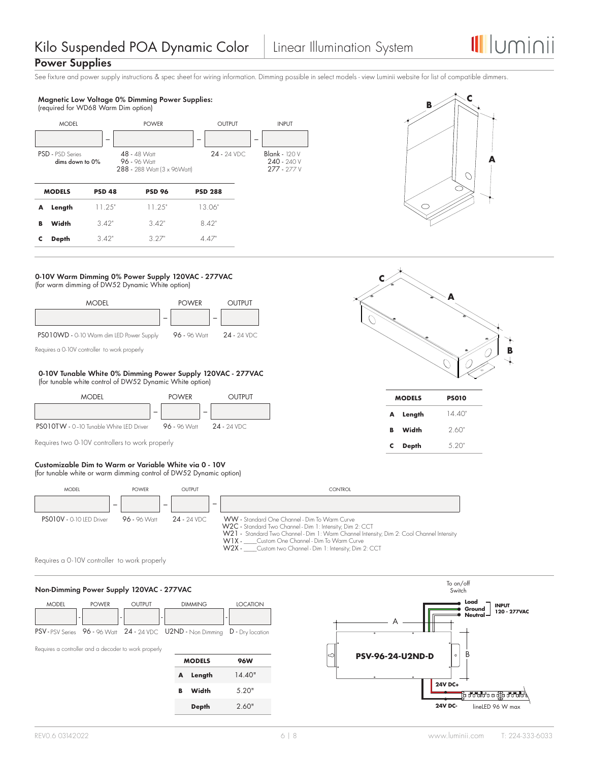**B**

# **Power Supplies**

See fixture and power supply instructions & spec sheet for wiring information. Dimming possible in select models - view Luminii website for list of compatible dimmers.





**A**

**MODELS PS010 A Length** 14.40" **Width** 2.60" **C Depth** 5.20"

### **C 0-10V Warm Dimming 0% Power Supply 120VAC - 277VAC** (for warm dimming of DW52 Dynamic White option)



Requires a 0-10V controller to work properly

### **0-10V Tunable White 0% Dimming Power Supply 120VAC - 277VAC** (for tunable white control of DW52 Dynamic White option)



Requires two 0-10V controllers to work properly

#### **Customizable Dim to Warm or Variable White via 0 - 10V** (for tunable white or warm dimming control of DW52 Dynamic option)



Requires a 0-10V controller to work properly

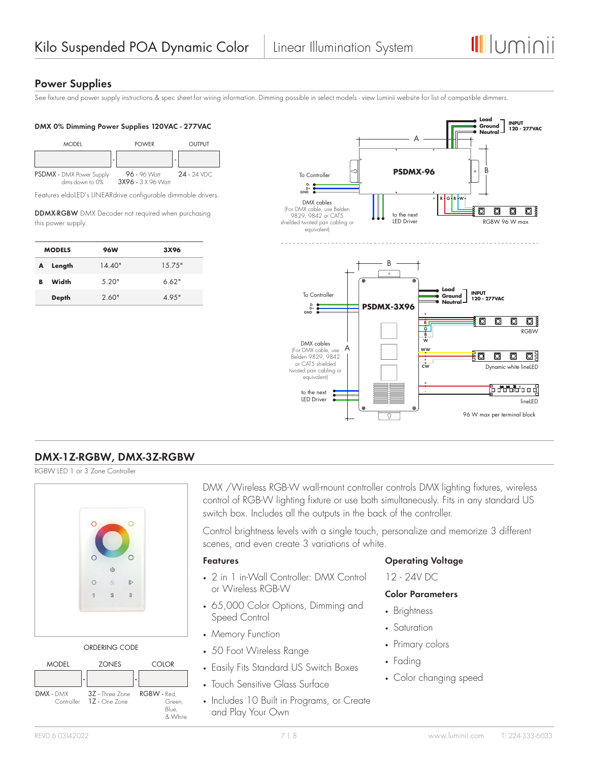

# **Power Supplies**

See fixture and power supply instructions & spec sheet for wiring information. Dimming possible in select models - view Luminii website for list of compatible dimmers.

### **DMX 0% Dimming Power Supplies 120VAC - 277VAC**



Features eldoLED's LINEARdrive configurable dimmable drivers.

DDMX-RGBW DMX Decoder not required when purchasing this power supply.

|   | <b>MODELS</b> | <b>96W</b> | 3X96   |
|---|---------------|------------|--------|
| A | Length        | 14.40"     | 15.75" |
| в | Width         | 5.20"      | 6.62"  |
|   | <b>Depth</b>  | 2.60"      | 49.5"  |



# **DMX-1Z-RGBW, DMX-3Z-RGBW**

RGBW LED 1 or 3 Zone Controller



ORDERING CODE



DMX /Wireless RGB-W wall-mount controller controls DMX lighting fixtures, wireless control of RGB-W lighting fixture or use both simultaneously. Fits in any standard US switch box. Includes all the outputs in the back of the controller.

Control brightness levels with a single touch, personalize and memorize 3 different scenes, and even create 3 variations of white.

# **Features**

- 2 in 1 in-Wall Controller: DMX Control or Wireless RGB-W
- 65,000 Color Options, Dimming and Speed Control
- Memory Function
- 50 Foot Wireless Range
- Easily Fits Standard US Switch Boxes
- Touch Sensitive Glass Surface
- Includes 10 Built in Programs, or Create and Play Your Own

# **Operating Voltage**

12 - 24V DC

# **Color Parameters**

- Brightness
- Saturation
- Primary colors
- Fading
- Color changing speed